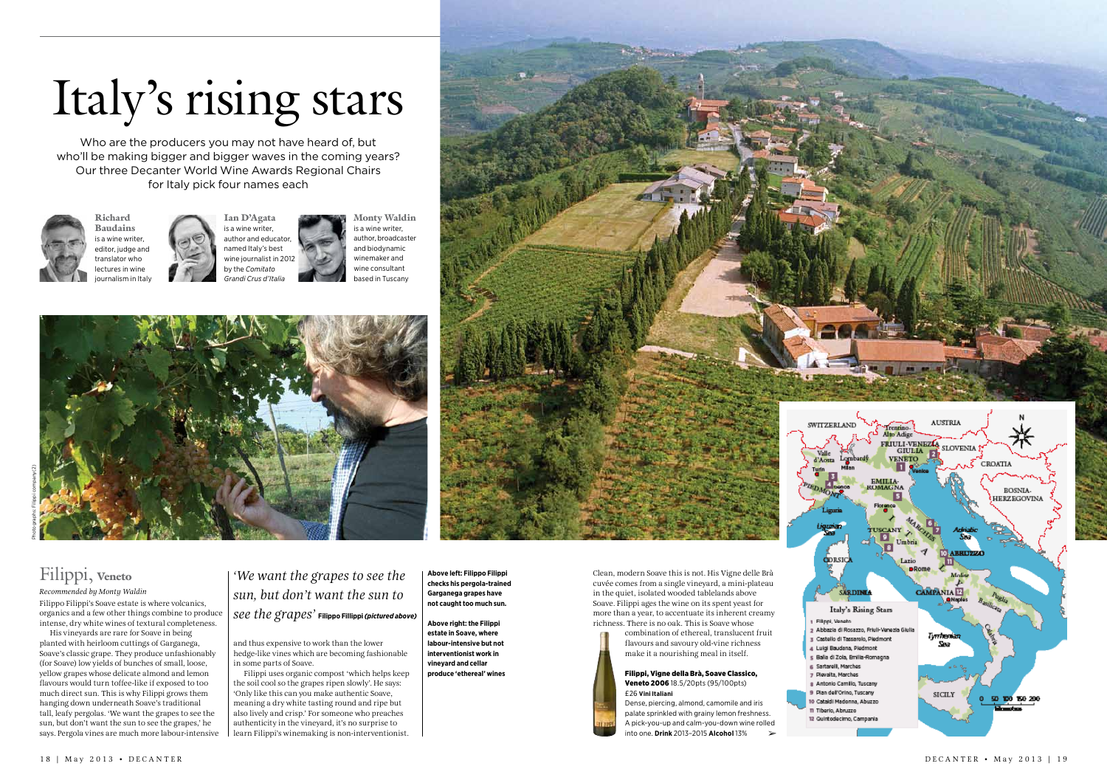

flavours and savoury old-vine richness make it a nourishing meal in itself.



## Filippi, Veneto *Recommended by Monty Waldin*

Filippo Filippi's Soave estate is where volcanics, organics and a few other things combine to produce intense, dry white wines of textural completeness.

His vineyards are rare for Soave in being planted with heirloom cuttings of Garganega, Soave's classic grape. They produce unfashionably (for Soave) low yields of bunches of small, loose, yellow grapes whose delicate almond and lemon flavours would turn toffee-like if exposed to too much direct sun. This is why Filippi grows them hanging down underneath Soave's traditional tall, leafy pergolas. 'We want the grapes to see the sun, but don't want the sun to see the grapes,' he says. Pergola vines are much more labour-intensive

and thus expensive to work than the lower hedge-like vines which are becoming fashionable in some parts of Soave.

Filippi uses organic compost 'which helps keep the soil cool so the grapes ripen slowly'. He says: 'Only like this can you make authentic Soave, meaning a dry white tasting round and ripe but also lively and crisp.' For someone who preaches authenticity in the vineyard, it's no surprise to learn Filippi's winemaking is non-interventionist.

# Italy's rising stars

Who are the producers you may not have heard of, but who'll be making bigger and bigger waves in the coming years? Our three Decanter World Wine Awards Regional Chairs for Italy pick four names each



*'We want the grapes to see the sun, but don't want the sun to see the grapes'* **Filippo Fillippi***(pictured above)* **Above left: Filippo Filippi checks his pergola-trained Garganega grapes have not caught too much sun.**

**Above right: the Filippi estate in Soave, where labour-intensive but not interventionist work in vineyard and cellar produce 'ethereal' wines**



Richard Baudains is a wine writer, editor, judge and translator who lectures in wine journalism in Italy



Monty Waldin is a wine writer, author, broadcaster and biodynamic winemaker and wine consultant based in Tuscany





➢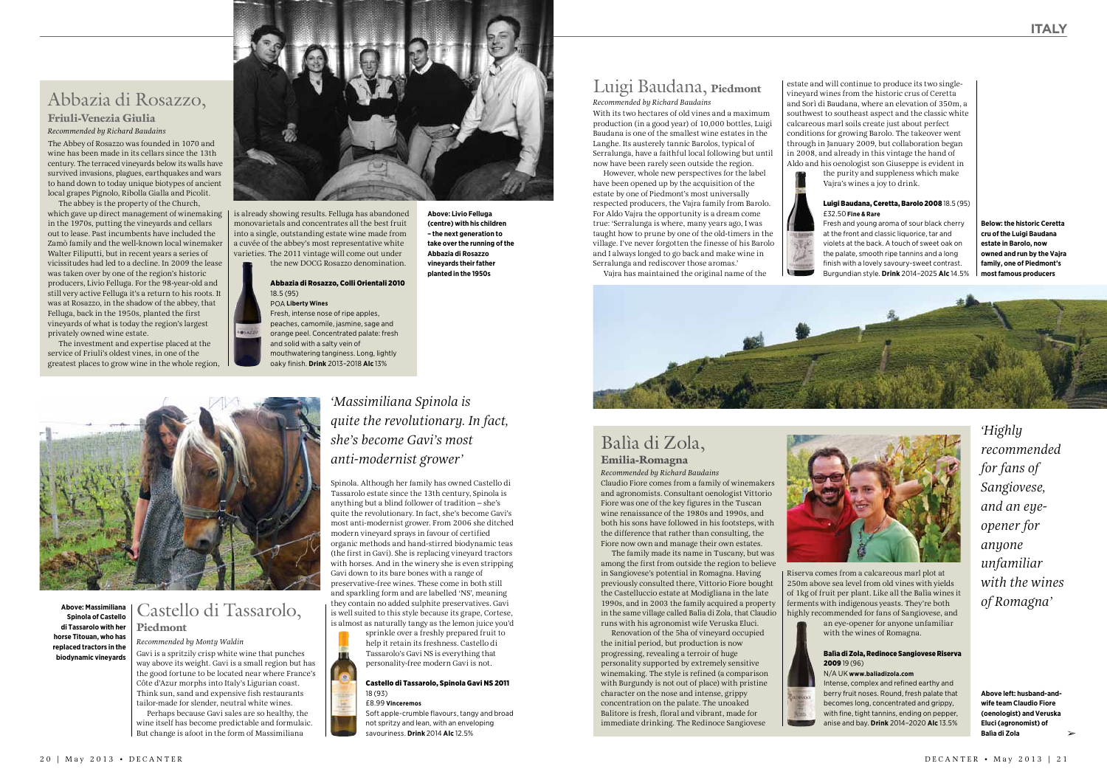Spinola. Although her family has owned Castello di Tassarolo estate since the 13th century, Spinola is anything but a blind follower of tradition – she's quite the revolutionary. In fact, she's become Gavi's most anti-modernist grower. From 2006 she ditched modern vineyard sprays in favour of certified organic methods and hand-stirred biodynamic teas (the first in Gavi). She is replacing vineyard tractors with horses. And in the winery she is even stripping Gavi down to its bare bones with a range of preservative-free wines. These come in both still and sparkling form and are labelled 'NS', meaning they contain no added sulphite preservatives. Gavi is well suited to this style because its grape, Cortese, is almost as naturally tangy as the lemon juice you'd

sprinkle over a freshly prepared fruit to help it retain its freshness. Castello di Tassarolo's Gavi NS is everything that personality-free modern Gavi is not.

## Castello di Tassarolo, Spinola Gavi NS 2011 18 (93)

£8.99 **Vinceremos**

Soft apple-crumble flavours, tangy and broad not spritzy and lean, with an enveloping savouriness. **Drink** 2014 **Alc** 12.5%

# Abbazia di Rosazzo,

## Friuli-Venezia Giulia *Recommended by Richard Baudains*

The Abbey of Rosazzo was founded in 1070 and wine has been made in its cellars since the 13th century. The terraced vineyards below its walls have survived invasions, plagues, earthquakes and wars to hand down to today unique biotypes of ancient local grapes Pignolo, Ribolla Gialla and Picolit.

The abbey is the property of the Church, which gave up direct management of winemaking in the 1970s, putting the vineyards and cellars out to lease. Past incumbents have included the Zamò family and the well-known local winemaker Walter Filiputti, but in recent years a series of vicissitudes had led to a decline. In 2009 the lease was taken over by one of the region's historic producers, Livio Felluga. For the 98-year-old and still very active Felluga it's a return to his roots. It was at Rosazzo, in the shadow of the abbey, that Felluga, back in the 1950s, planted the first vineyards of what is today the region's largest privately owned wine estate.

The investment and expertise placed at the service of Friuli's oldest vines, in one of the greatest places to grow wine in the whole region,



## Castello di Tassarolo, Piedmont

## *Recommended by Monty Waldin*

Gavi is a spritzily crisp white wine that punches way above its weight. Gavi is a small region but has the good fortune to be located near where France's Côte d'Azur morphs into Italy's Ligurian coast. Think sun, sand and expensive fish restaurants tailor-made for slender, neutral white wines. Perhaps because Gavi sales are so healthy, the wine itself has become predictable and formulaic. But change is afoot in the form of Massimiliana

*'Massimiliana Spinola is quite the revolutionary. In fact, she's become Gavi's most anti-modernist grower'*

is already showing results. Felluga has abandoned monovarietals and concentrates all the best fruit into a single, outstanding estate wine made from a cuvée of the abbey's most representative white varieties. The 2011 vintage will come out under the new DOCG Rosazzo denomination.

## Abbazia di Rosazzo, Colli Orientali 2010 18.5 (95)

#### POA **Liberty Wines**  Fresh, intense nose of ripe apples,

peaches, camomile, jasmine, sage and orange peel. Concentrated palate: fresh and solid with a salty vein of mouthwatering tanginess. Long, lightly oaky finish. **Drink** 2013–2018 **Alc** 13%



**Above: Livio Felluga (centre) with his children – the next generation to take over the running of the Abbazia di Rosazzo vineyards their father planted in the 1950s**

**Above: Massimiliana Spinola of Castello di Tassarolo with her horse Titouan, who has replaced tractors in the biodynamic vineyards**

➢

# Luigi Baudana, Piedmont

*Recommended by Richard Baudains*  With its two hectares of old vines and a maximum production (in a good year) of 10,000 bottles, Luigi Baudana is one of the smallest wine estates in the Langhe. Its austerely tannic Barolos, typical of Serralunga, have a faithful local following but until now have been rarely seen outside the region.

However, whole new perspectives for the label have been opened up by the acquisition of the estate by one of Piedmont's most universally respected producers, the Vajra family from Barolo. For Aldo Vajra the opportunity is a dream come true: 'Serralunga is where, many years ago, I was taught how to prune by one of the old-timers in the village. I've never forgotten the finesse of his Barolo and I always longed to go back and make wine in Serralunga and rediscover those aromas.'

Vajra has maintained the original name of the



## Balìa di Zola, Emilia-Romagna

*Recommended by Richard Baudains*  Claudio Fiore comes from a family of winemakers and agronomists. Consultant oenologist Vittorio Fiore was one of the key figures in the Tuscan wine renaissance of the 1980s and 1990s, and both his sons have followed in his footsteps, with the difference that rather than consulting, the Fiore now own and manage their own estates.

The family made its name in Tuscany, but was among the first from outside the region to believe in Sangiovese's potential in Romagna. Having previously consulted there, Vittorio Fiore bought the Castelluccio estate at Modigliana in the late 1990s, and in 2003 the family acquired a property in the same village called Balìa di Zola, that Claudio runs with his agronomist wife Veruska Eluci.

Renovation of the 5ha of vineyard occupied the initial period, but production is now progressing, revealing a terroir of huge personality supported by extremely sensitive winemaking. The style is refined (a comparison with Burgundy is not out of place) with pristine character on the nose and intense, grippy concentration on the palate. The unoaked Balitore is fresh, floral and vibrant, made for immediate drinking. The Redinoce Sangiovese



*'Highly recommended for fans of Sangiovese, and an eyeopener for anyone unfamiliar with the wines of Romagna'*

estate and will continue to produce its two singlevineyard wines from the historic crus of Ceretta and Sorì di Baudana, where an elevation of 350m, a southwest to southeast aspect and the classic white calcareous marl soils create just about perfect conditions for growing Barolo. The takeover went through in January 2009, but collaboration began in 2008, and already in this vintage the hand of Aldo and his oenologist son Giuseppe is evident in the purity and suppleness which make Vajra's wines a joy to drink.

## Luigi Baudana, Ceretta, Barolo 2008 18.5 (95) £32.50 **Fine & Rare**

Fresh and young aroma of sour black cherry at the front and classic liquorice, tar and violets at the back. A touch of sweet oak on the palate, smooth ripe tannins and a long finish with a lovely savoury-sweet contrast. Burgundian style. **Drink** 2014–2025 **Alc** 14.5%

**Below: the historic Ceretta cru of the Luigi Baudana estate in Barolo, now owned and run by the Vajra family, one of Piedmont's most famous producers**

Riserva comes from a calcareous marl plot at 250m above sea level from old vines with yields of 1kg of fruit per plant. Like all the Balìa wines it ferments with indigenous yeasts. They're both highly recommended for fans of Sangiovese, and an eye-opener for anyone unfamiliar with the wines of Romagna.



## Balìa di Zola, Redinoce Sangiovese Riserva 2009 19 (96)

#### N/A UK **www.baliadizola.com**

Intense, complex and refined earthy and berry fruit noses. Round, fresh palate that becomes long, concentrated and grippy, with fine, tight tannins, ending on pepper, anise and bay. **Drink** 2014–2020 **Alc** 13.5%

**Above left: husband-andwife team Claudio Fiore (oenologist) and Veruska Eluci (agronomist) of Balìa di Zola**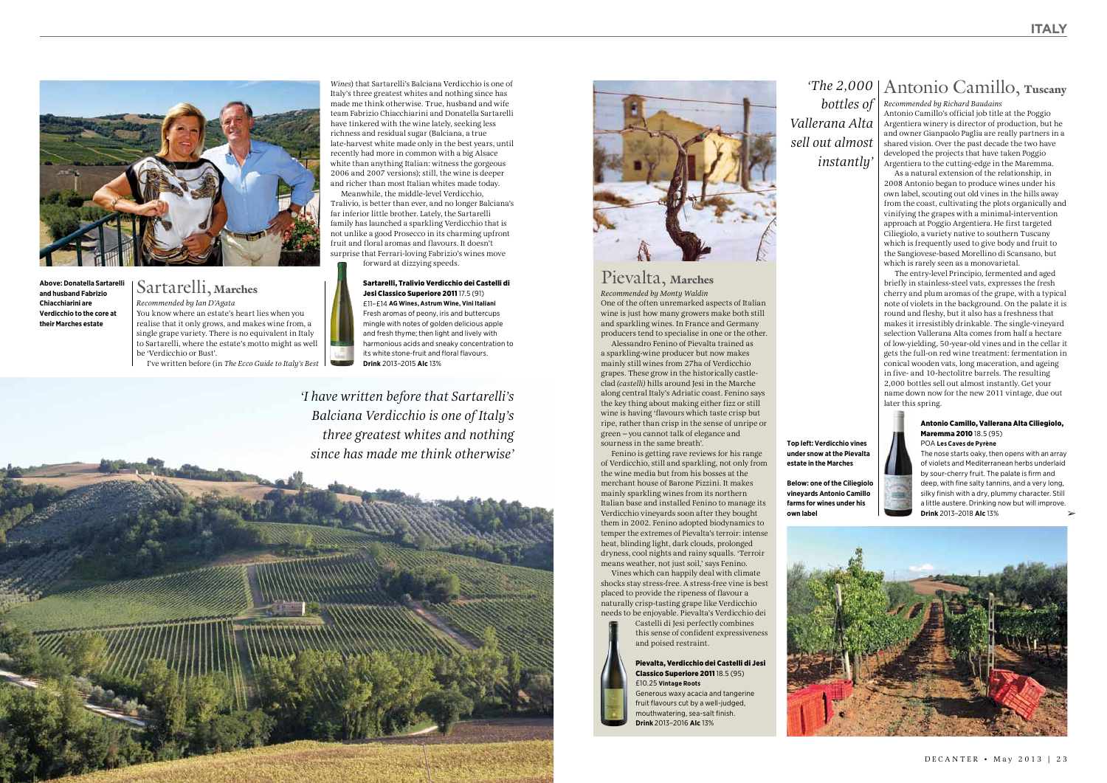*Recommended by Richard Baudains*  Antonio Camillo's official job title at the Poggio Argentiera winery is director of production, but he and owner Gianpaolo Paglia are really partners in a shared vision. Over the past decade the two have developed the projects that have taken Poggio Argentiera to the cutting-edge in the Maremma.

As a natural extension of the relationship, in 2008 Antonio began to produce wines under his own label, scouting out old vines in the hills away from the coast, cultivating the plots organically and vinifying the grapes with a minimal-intervention approach at Poggio Argentiera. He first targeted Ciliegiolo, a variety native to southern Tuscany which is frequently used to give body and fruit to the Sangiovese-based Morellino di Scansano, but which is rarely seen as a monovarietal.

The entry-level Principio, fermented and aged briefly in stainless-steel vats, expresses the fresh cherry and plum aromas of the grape, with a typical note of violets in the background. On the palate it is round and fleshy, but it also has a freshness that makes it irresistibly drinkable. The single-vineyard selection Vallerana Alta comes from half a hectare of low-yielding, 50-year-old vines and in the cellar it gets the full-on red wine treatment: fermentation in conical wooden vats, long maceration, and ageing in five- and 10-hectolitre barrels. The resulting 2,000 bottles sell out almost instantly. Get your name down now for the new 2011 vintage, due out later this spring.



#### Antonio Camillo, Vallerana Alta Ciliegiolo, Maremma 2010 18.5 (95) POA **Les Caves de Pyrène**

## Sartarelli, Marches

*Recommended by Ian D'Agata*  You know where an estate's heart lies when you realise that it only grows, and makes wine from, a single grape variety. There is no equivalent in Italy to Sartarelli, where the estate's motto might as well be 'Verdicchio or Bust'. I've written before (in *The Ecco Guide to Italy's Best* 



**Above: Donatella Sartarelli and husband Fabrizio Chiacchiarini are Verdicchio to the core at their Marches estate**

*Wines*) that Sartarelli's Balciana Verdicchio is one of Italy's three greatest whites and nothing since has made me think otherwise. True, husband and wife team Fabrizio Chiacchiarini and Donatella Sartarelli have tinkered with the wine lately, seeking less richness and residual sugar (Balciana, a true late-harvest white made only in the best years, until recently had more in common with a big Alsace white than anything Italian: witness the gorgeous 2006 and 2007 versions); still, the wine is deeper and richer than most Italian whites made today.

## Antonio Camillo, Tuscany *'The 2,000*

Meanwhile, the middle-level Verdicchio, Tralivio, is better than ever, and no longer Balciana's far inferior little brother. Lately, the Sartarelli family has launched a sparkling Verdicchio that is not unlike a good Prosecco in its charming upfront fruit and floral aromas and flavours. It doesn't surprise that Ferrari-loving Fabrizio's wines move forward at dizzying speeds.

> Sartarelli, Tralivio Verdicchio dei Castelli di Jesi Classico Superiore 2011 17.5 (91) £11–£14 **AG Wines, Astrum Wine, Vini Italiani** Fresh aromas of peony, iris and buttercups mingle with notes of golden delicious apple and fresh thyme; then light and lively with harmonious acids and sneaky concentration to its white stone-fruit and floral flavours. **Drink** 2013–2015 **Alc** 13%

> > The nose starts oaky, then opens with an array of violets and Mediterranean herbs underlaid by sour-cherry fruit. The palate is firm and deep, with fine salty tannins, and a very long, silky finish with a dry, plummy character. Still a little austere. Drinking now but will improve. **Drink** 2013–2018 **Alc** 13% ➢

*'I have written before that Sartarelli's Balciana Verdicchio is one of Italy's three greatest whites and nothing since has made me think otherwise'*







## Pievalta, Marches

*Recommended by Monty Waldin*  One of the often unremarked aspects of Italian wine is just how many growers make both still and sparkling wines. In France and Germany producers tend to specialise in one or the other.

Alessandro Fenino of Pievalta trained as a sparkling-wine producer but now makes mainly still wines from 27ha of Verdicchio grapes. These grow in the historically castleclad *(castelli)* hills around Jesi in the Marche along central Italy's Adriatic coast. Fenino says the key thing about making either fizz or still wine is having 'flavours which taste crisp but ripe, rather than crisp in the sense of unripe or green – you cannot talk of elegance and sourness in the same breath'.

Fenino is getting rave reviews for his range of Verdicchio, still and sparkling, not only from the wine media but from his bosses at the merchant house of Barone Pizzini. It makes mainly sparkling wines from its northern Italian base and installed Fenino to manage its Verdicchio vineyards soon after they bought them in 2002. Fenino adopted biodynamics to temper the extremes of Pievalta's terroir: intense heat, blinding light, dark clouds, prolonged dryness, cool nights and rainy squalls. 'Terroir means weather, not just soil,' says Fenino.

Vines which can happily deal with climate shocks stay stress-free. A stress-free vine is best placed to provide the ripeness of flavour a naturally crisp-tasting grape like Verdicchio needs to be enjoyable. Pievalta's Verdicchio dei

Castelli di Jesi perfectly combines this sense of confident expressiveness and poised restraint.

#### Pievalta, Verdicchio dei Castelli di Jesi Classico Superiore 2011 18.5 (95) £10.25 **Vintage Roots**

Generous waxy acacia and tangerine fruit flavours cut by a well-judged, mouthwatering, sea-salt finish. **Drink** 2013–2016 **Alc** 13%

**Top left: Verdicchio vines under snow at the Pievalta estate in the Marches** 

**Below: one of the Ciliegiolo vineyards Antonio Camillo farms for wines under his own label**



*bottles of Vallerana Alta sell out almost instantly'*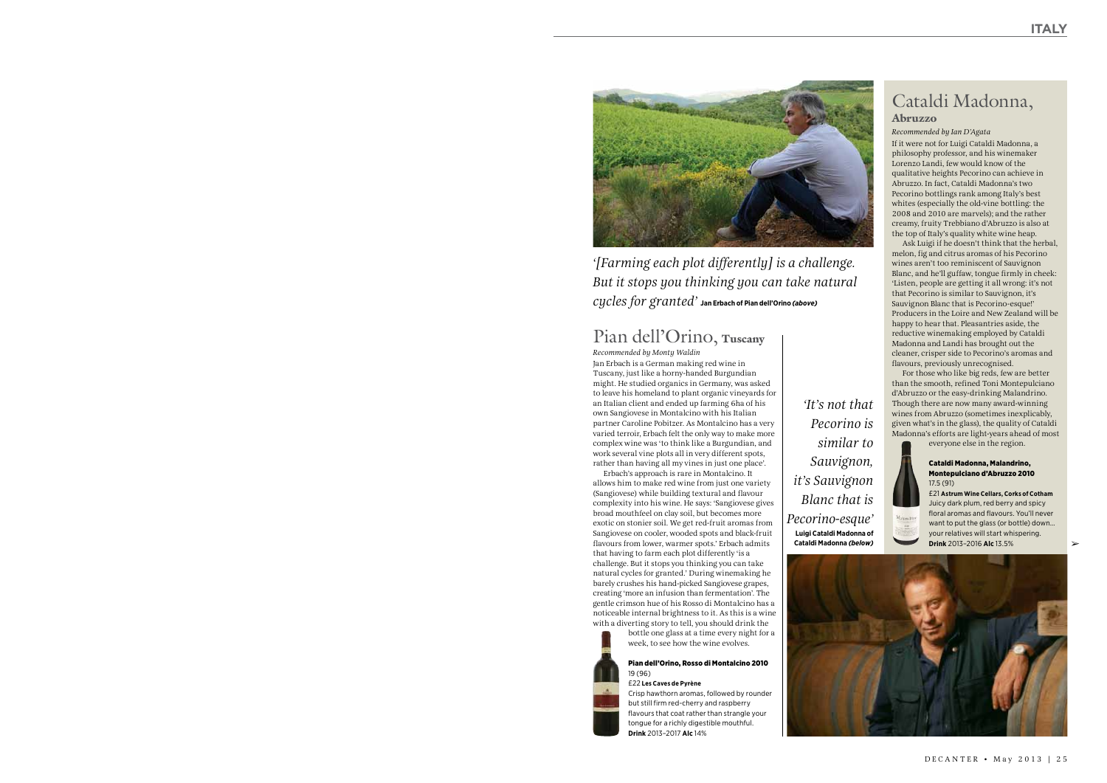# Cataldi Madonna,

## Abruzzo

## *Recommended by Ian D'Agata*

If it were not for Luigi Cataldi Madonna, a philosophy professor, and his winemaker Lorenzo Landi, few would know of the qualitative heights Pecorino can achieve in Abruzzo. In fact, Cataldi Madonna's two Pecorino bottlings rank among Italy's best whites (especially the old-vine bottling: the 2008 and 2010 are marvels); and the rather creamy, fruity Trebbiano d'Abruzzo is also at the top of Italy's quality white wine heap.

Ask Luigi if he doesn't think that the herbal, melon, fig and citrus aromas of his Pecorino wines aren't too reminiscent of Sauvignon Blanc, and he'll guffaw, tongue firmly in cheek: 'Listen, people are getting it all wrong: it's not that Pecorino is similar to Sauvignon, it's Sauvignon Blanc that is Pecorino-esque!' Producers in the Loire and New Zealand will be happy to hear that. Pleasantries aside, the reductive winemaking employed by Cataldi Madonna and Landi has brought out the cleaner, crisper side to Pecorino's aromas and flavours, previously unrecognised.

For those who like big reds, few are better than the smooth, refined Toni Montepulciano d'Abruzzo or the easy-drinking Malandrino. Though there are now many award-winning wines from Abruzzo (sometimes inexplicably, given what's in the glass), the quality of Cataldi Madonna's efforts are light-years ahead of most everyone else in the region.

Cataldi Madonna, Malandrino,



Malandrin

Montepulciano d'Abruzzo 2010 17.5 (91) £21 **Astrum Wine Cellars, Corks of Cotham**

# Pian dell'Orino, Tuscany

*Recommended by Monty Waldin* Jan Erbach is a German making red wine in Tuscany, just like a horny-handed Burgundian might. He studied organics in Germany, was asked to leave his homeland to plant organic vineyards for an Italian client and ended up farming 6ha of his own Sangiovese in Montalcino with his Italian partner Caroline Pobitzer. As Montalcino has a very varied terroir, Erbach felt the only way to make more complex wine was 'to think like a Burgundian, and work several vine plots all in very different spots, rather than having all my vines in just one place'.

> Juicy dark plum, red berry and spicy floral aromas and flavours. You'll never want to put the glass (or bottle) down… your relatives will start whispering. **Drink** 2013–2016 **Alc** 13.5% **Cataldi Madonna** *(below)* ➢



Erbach's approach is rare in Montalcino. It allows him to make red wine from just one variety (Sangiovese) while building textural and flavour complexity into his wine. He says: 'Sangiovese gives broad mouthfeel on clay soil, but becomes more exotic on stonier soil. We get red-fruit aromas from Sangiovese on cooler, wooded spots and black-fruit flavours from lower, warmer spots.' Erbach admits that having to farm each plot differently 'is a challenge. But it stops you thinking you can take natural cycles for granted.' During winemaking he barely crushes his hand-picked Sangiovese grapes, creating 'more an infusion than fermentation'. The gentle crimson hue of his Rosso di Montalcino has a noticeable internal brightness to it. As this is a wine with a diverting story to tell, you should drink the

> bottle one glass at a time every night for a week, to see how the wine evolves.

## Pian dell'Orino, Rosso di Montalcino 2010 19 (96)

£22 **Les Caves de Pyrène** Crisp hawthorn aromas, followed by rounder but still firm red-cherry and raspberry flavours that coat rather than strangle your tongue for a richly digestible mouthful. **Drink** 2013–2017 **Alc** 14%



*'[Farming each plot differently] is a challenge. But it stops you thinking you can take natural cycles for granted'* **Jan Erbach of Pian dell'Orino** *(above)*

> *'It's not that Pecorino is similar to Sauvignon, Blanc that is*  **Luigi Cataldi Madonna of**

*it's Sauvignon Pecorino-esque'*